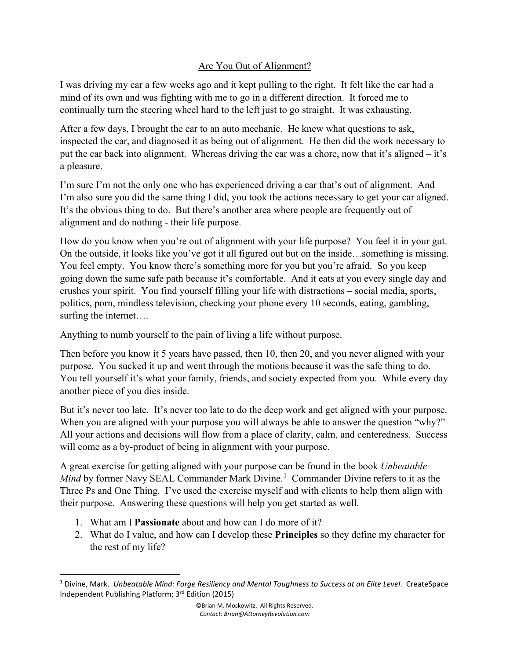## Are You Out of Alignment?

I was driving my car a few weeks ago and it kept pulling to the right. It felt like the car had a mind of its own and was fighting with me to go in a different direction. It forced me to continually turn the steering wheel hard to the left just to go straight. It was exhausting.

After a few days, I brought the car to an auto mechanic. He knew what questions to ask, inspected the car, and diagnosed it as being out of alignment. He then did the work necessary to put the car back into alignment. Whereas driving the car was a chore, now that it's aligned – it's a pleasure.

I'm sure I'm not the only one who has experienced driving a car that's out of alignment. And I'm also sure you did the same thing I did, you took the actions necessary to get your car aligned. It's the obvious thing to do. But there's another area where people are frequently out of alignment and do nothing - their life purpose.

How do you know when you're out of alignment with your life purpose? You feel it in your gut. On the outside, it looks like you've got it all figured out but on the inside…something is missing. You feel empty. You know there's something more for you but you're afraid. So you keep going down the same safe path because it's comfortable. And it eats at you every single day and crushes your spirit. You find yourself filling your life with distractions – social media, sports, politics, porn, mindless television, checking your phone every 10 seconds, eating, gambling, surfing the internet….

Anything to numb yourself to the pain of living a life without purpose.

Then before you know it 5 years have passed, then 10, then 20, and you never aligned with your purpose. You sucked it up and went through the motions because it was the safe thing to do. You tell yourself it's what your family, friends, and society expected from you. While every day another piece of you dies inside.

But it's never too late. It's never too late to do the deep work and get aligned with your purpose. When you are aligned with your purpose you will always be able to answer the question "why?" All your actions and decisions will flow from a place of clarity, calm, and centeredness. Success will come as a by-product of being in alignment with your purpose.

A great exercise for getting aligned with your purpose can be found in the book *Unbeatable*  Mind by former Navy SEAL Commander Mark Divine.<sup>[1](#page-0-0)</sup> Commander Divine refers to it as the Three Ps and One Thing. I've used the exercise myself and with clients to help them align with their purpose. Answering these questions will help you get started as well.

- 1. What am I **Passionate** about and how can I do more of it?
- 2. What do I value, and how can I develop these **Principles** so they define my character for the rest of my life?

<span id="page-0-0"></span><sup>1</sup> Divine, Mark. *Unbeatable Mind: Forge Resiliency and Mental Toughness to Success at an Elite Level*. CreateSpace Independent Publishing Platform; 3rd Edition (2015)